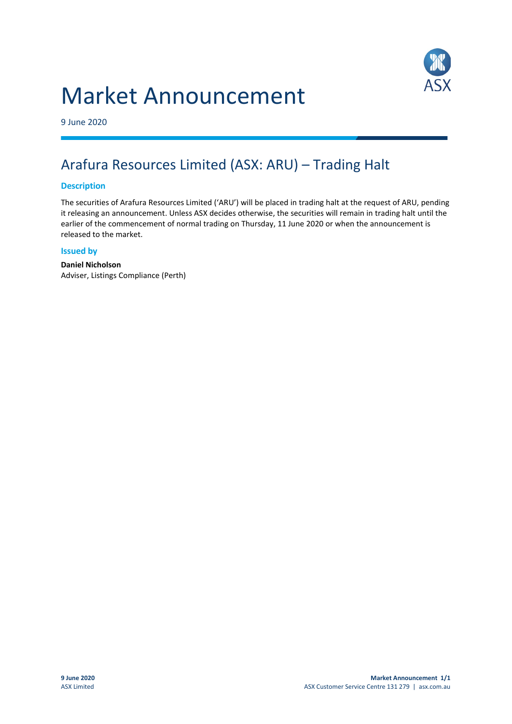# Market Announcement



9 June 2020

## Arafura Resources Limited (ASX: ARU) – Trading Halt

#### **Description**

The securities of Arafura Resources Limited ('ARU') will be placed in trading halt at the request of ARU, pending it releasing an announcement. Unless ASX decides otherwise, the securities will remain in trading halt until the earlier of the commencement of normal trading on Thursday, 11 June 2020 or when the announcement is released to the market.

#### **Issued by**

**Daniel Nicholson** Adviser, Listings Compliance (Perth)